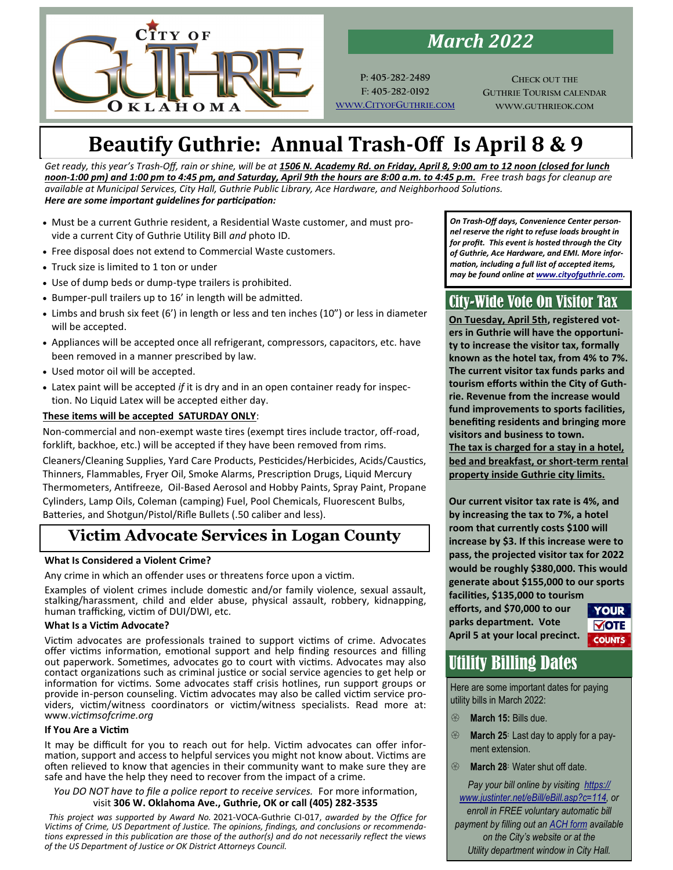

*March 2022*

**P: 405-282-2489 F: 405-282-0192 WWW.CITYOFG[UTHRIE](http://www.cityofguthrie.com/).COM**

**CHECK OUT THE GUTHRIE TOURISM CALENDAR WWW.GUTHRIEOK.COM**

# **Beautify Guthrie: Annual Trash-Off Is April 8 & 9**

*Get ready, this year's Trash-Off, rain or shine, will be at 1506 N. Academy Rd. on Friday, April 8, 9:00 am to 12 noon (closed for lunch noon-1:00 pm) and 1:00 pm to 4:45 pm, and Saturday, April 9th the hours are 8:00 a.m. to 4:45 p.m. Free trash bags for cleanup are available at Municipal Services, City Hall, Guthrie Public Library, Ace Hardware, and Neighborhood Solutions. Here are some important guidelines for participation:*

- Must be a current Guthrie resident, a Residential Waste customer, and must provide a current City of Guthrie Utility Bill *and* photo ID.
- Free disposal does not extend to Commercial Waste customers.
- Truck size is limited to 1 ton or under
- Use of dump beds or dump-type trailers is prohibited.
- Bumper-pull trailers up to 16' in length will be admitted.
- Limbs and brush six feet (6') in length or less and ten inches (10") or less in diameter will be accepted.
- Appliances will be accepted once all refrigerant, compressors, capacitors, etc. have been removed in a manner prescribed by law.
- Used motor oil will be accepted.
- Latex paint will be accepted *if* it is dry and in an open container ready for inspection. No Liquid Latex will be accepted either day.

## **These items will be accepted SATURDAY ONLY**:

Non-commercial and non-exempt waste tires (exempt tires include tractor, off-road, forklift, backhoe, etc.) will be accepted if they have been removed from rims.

Cleaners/Cleaning Supplies, Yard Care Products, Pesticides/Herbicides, Acids/Caustics, Thinners, Flammables, Fryer Oil, Smoke Alarms, Prescription Drugs, Liquid Mercury Thermometers, Antifreeze, Oil-Based Aerosol and Hobby Paints, Spray Paint, Propane Cylinders, Lamp Oils, Coleman (camping) Fuel, Pool Chemicals, Fluorescent Bulbs, Batteries, and Shotgun/Pistol/Rifle Bullets (.50 caliber and less).

## **Victim Advocate Services in Logan County**

## **What Is Considered a Violent Crime?**

Any crime in which an offender uses or threatens force upon a victim.

Examples of violent crimes include domestic and/or family violence, sexual assault, stalking/harassment, child and elder abuse, physical assault, robbery, kidnapping, human trafficking, victim of DUI/DWI, etc.

### **What Is a Victim Advocate?**

Victim advocates are professionals trained to support victims of crime. Advocates offer victims information, emotional support and help finding resources and filling out paperwork. Sometimes, advocates go to court with victims. Advocates may also contact organizations such as criminal justice or social service agencies to get help or information for victims. Some advocates staff crisis hotlines, run support groups or provide in-person counseling. Victim advocates may also be called victim service providers, victim/witness coordinators or victim/witness specialists. Read more at: www.*victimsofcrime.org*

### **If You Are a Victim**

It may be difficult for you to reach out for help. Victim advocates can offer information, support and access to helpful services you might not know about. Victims are often relieved to know that agencies in their community want to make sure they are safe and have the help they need to recover from the impact of a crime.

#### *You DO NOT have to file a police report to receive services.* For more information, visit **306 W. Oklahoma Ave., Guthrie, OK or call (405) 282-3535**

*This project was supported by Award No.* 2021-VOCA-Guthrie CI-017, *awarded by the Office for Victims of Crime, US Department of Justice. The opinions, findings, and conclusions or recommendations expressed in this publication are those of the author(s) and do not necessarily reflect the views of the US Department of Justice or OK District Attorneys Council.*

*On Trash-Off days, Convenience Center personnel reserve the right to refuse loads brought in for profit. This event is hosted through the City of Guthrie, Ace Hardware, and EMI. More information, including a full list of accepted items, may be found online at [www.cityofguthrie.com.](http://www.cityofguthrie.com)* 

## City-Wide Vote On Visitor Tax

**On Tuesday, April 5th, registered voters in Guthrie will have the opportunity to increase the visitor tax, formally known as the hotel tax, from 4% to 7%. The current visitor tax funds parks and tourism efforts within the City of Guthrie. Revenue from the increase would fund improvements to sports facilities, benefiting residents and bringing more visitors and business to town. The tax is charged for a stay in a hotel, bed and breakfast, or short-term rental property inside Guthrie city limits.** 

**Our current visitor tax rate is 4%, and by increasing the tax to 7%, a hotel room that currently costs \$100 will increase by \$3. If this increase were to pass, the projected visitor tax for 2022 would be roughly \$380,000. This would generate about \$155,000 to our sports facilities, \$135,000 to tourism** 

**efforts, and \$70,000 to our parks department. Vote April 5 at your local precinct.**

**YOUR**  $\overline{M}$ **OTE COUNTS** 

# Utility Billing Dates

Here are some important dates for paying utility bills in March 2022:

- **March 15:** Bills due.
- **EXECUTE:** March 25<sup>*:*</sup> Last day to apply for a payment extension.
- **March 28:** Water shut off date.

*Pay your bill online by visiting [https://](https://www.justinter.net/eBill/eBill.asp?c=114) [www.justinter.net/eBill/eBill.asp?c=114,](https://www.justinter.net/eBill/eBill.asp?c=114) or enroll in FREE voluntary automatic bill payment by filling out an [ACH form](http://cityofguthrie.com/DocumentView.aspx?DID=227) available on the City's website or at the Utility department window in City Hall.*